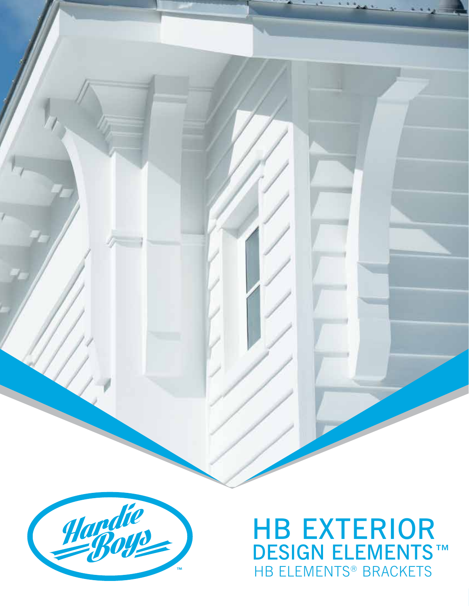

#### HB EXTERIOR DESIGN ELEMENTS™ HB ELEMENTS® BRACKETS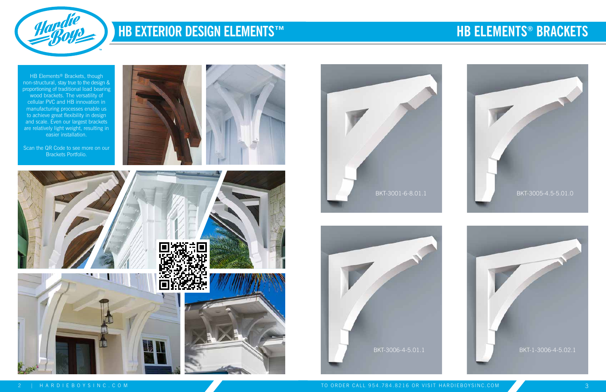

HB Elements<sup>®</sup> Brackets, though non-structural, stay true to the design & proportioning of traditional load bearing wood brackets. The versatility of cellular PVC and HB innovation in manufacturing processes enable us to achieve great flexibility in design and scale. Even our largest brackets are relatively light weight, resulting in easier installation.

Scan the QR Code to see more on our Brackets Portfolio.











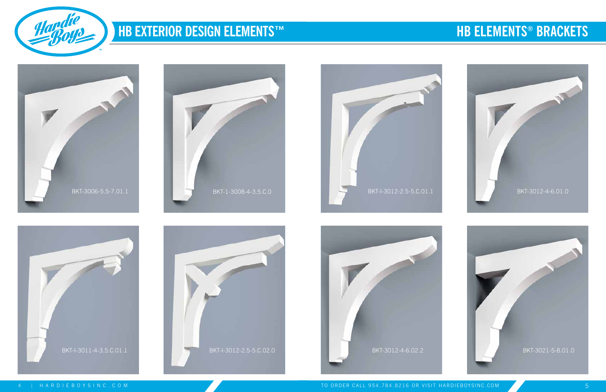















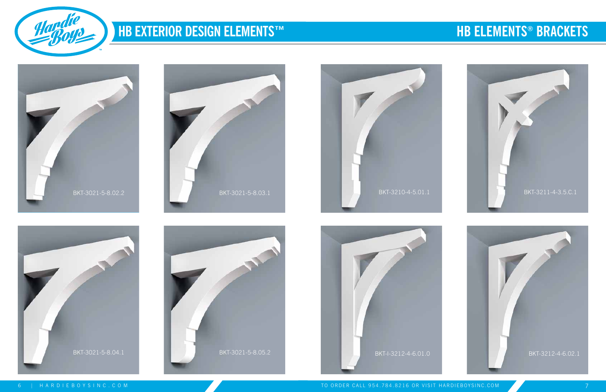















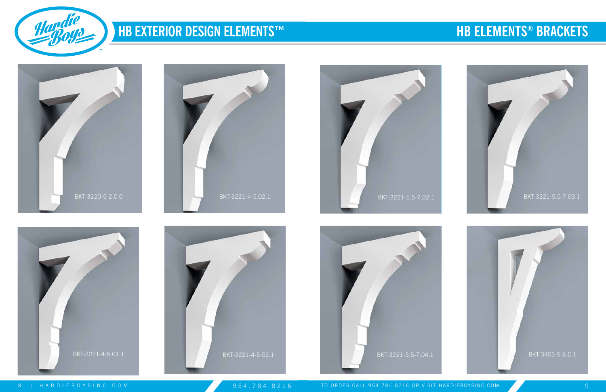















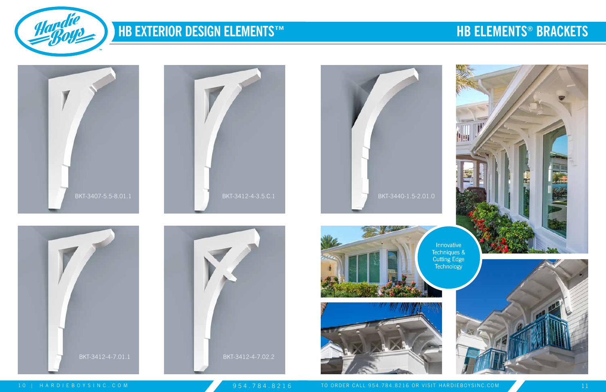

Innovative Techniques & Cutting Edge **Technology** 



10 | HARDIEBOYSINC.COM 11<br>10 | HARDIEBOYSINC.COM 11















## **HB ELEMENTS® BRACKETS**

P